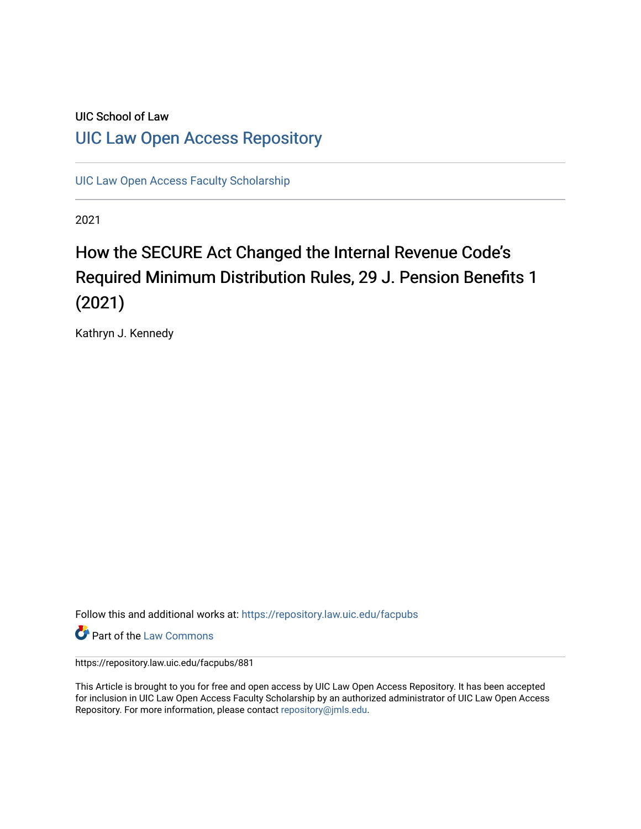# UIC School of Law [UIC Law Open Access Repository](https://repository.law.uic.edu/)

[UIC Law Open Access Faculty Scholarship](https://repository.law.uic.edu/facpubs)

2021

# How the SECURE Act Changed the Internal Revenue Code's Required Minimum Distribution Rules, 29 J. Pension Benefits 1 (2021)

Kathryn J. Kennedy

Follow this and additional works at: [https://repository.law.uic.edu/facpubs](https://repository.law.uic.edu/facpubs?utm_source=repository.law.uic.edu%2Ffacpubs%2F881&utm_medium=PDF&utm_campaign=PDFCoverPages) 

**Part of the [Law Commons](https://network.bepress.com/hgg/discipline/578?utm_source=repository.law.uic.edu%2Ffacpubs%2F881&utm_medium=PDF&utm_campaign=PDFCoverPages)** 

https://repository.law.uic.edu/facpubs/881

This Article is brought to you for free and open access by UIC Law Open Access Repository. It has been accepted for inclusion in UIC Law Open Access Faculty Scholarship by an authorized administrator of UIC Law Open Access Repository. For more information, please contact [repository@jmls.edu.](mailto:repository@jmls.edu)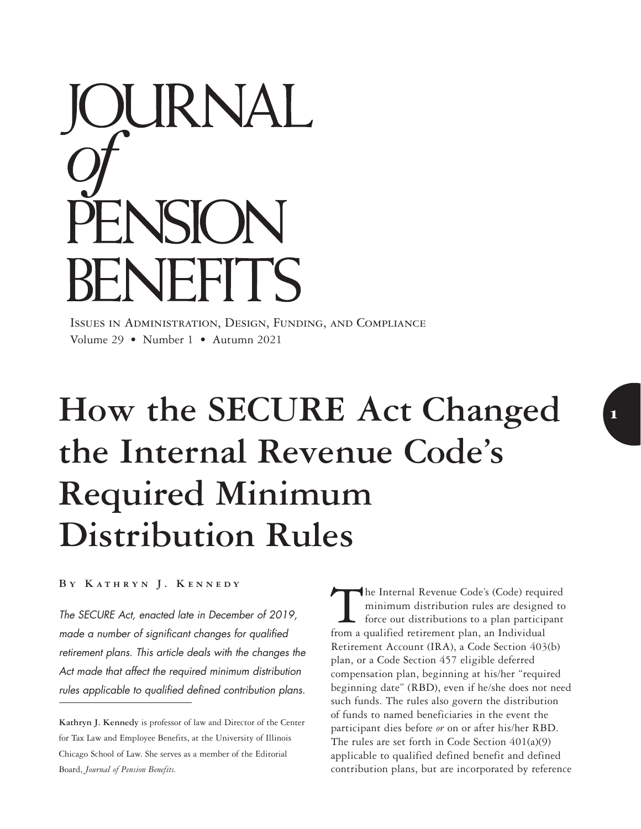

Issues in Administration, Design, Funding, and Compliance Volume 29 • Number 1 • Autumn 2021

# How the **SECURE** Act Changed **the Internal Revenue Code's Required Minimum Distribution Rules**

**By Kathryn J. Kennedy**

*The SECURE Act, enacted late in December of 2019, made a number of significant changes for qualified retirement plans. This article deals with the changes the Act made that affect the required minimum distribution rules applicable to qualified defined contribution plans.*

**Kathryn J. Kennedy** is professor of law and Director of the Center for Tax Law and Employee Benefits, at the University of Illinois Chicago School of Law. She serves as a member of the Editorial Board, *Journal of Pension Benefits.*

The Internal Revenue Code's (Code) required minimum distribution rules are designed to force out distributions to a plan participant from a qualified retirement plan, an Individual Retirement Account (IRA), a Code Section 403(b) plan, or a Code Section 457 eligible deferred compensation plan, beginning at his/her "required beginning date" (RBD), even if he/she does not need such funds. The rules also govern the distribution of funds to named beneficiaries in the event the participant dies before *or* on or after his/her RBD. The rules are set forth in Code Section 401(a)(9) applicable to qualified defined benefit and defined contribution plans, but are incorporated by reference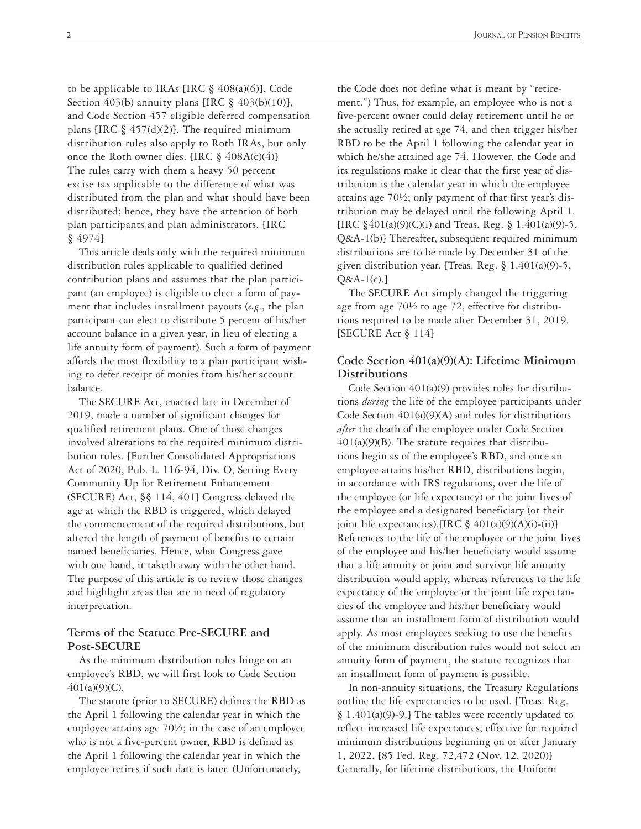to be applicable to IRAs [IRC  $\S$  408(a)(6)], Code Section 403(b) annuity plans [IRC § 403(b)(10)], and Code Section 457 eligible deferred compensation plans [IRC  $\S$  457(d)(2)]. The required minimum distribution rules also apply to Roth IRAs, but only once the Roth owner dies. [IRC  $\S$  408A(c)(4)] The rules carry with them a heavy 50 percent excise tax applicable to the difference of what was distributed from the plan and what should have been distributed; hence, they have the attention of both plan participants and plan administrators. [IRC § 4974]

This article deals only with the required minimum distribution rules applicable to qualified defined contribution plans and assumes that the plan participant (an employee) is eligible to elect a form of payment that includes installment payouts (*e.g*., the plan participant can elect to distribute 5 percent of his/her account balance in a given year, in lieu of electing a life annuity form of payment). Such a form of payment affords the most flexibility to a plan participant wishing to defer receipt of monies from his/her account balance.

The SECURE Act, enacted late in December of 2019, made a number of significant changes for qualified retirement plans. One of those changes involved alterations to the required minimum distribution rules. [Further Consolidated Appropriations Act of 2020, Pub. L. 116-94, Div. O, Setting Every Community Up for Retirement Enhancement (SECURE) Act, §§ 114, 401] Congress delayed the age at which the RBD is triggered, which delayed the commencement of the required distributions, but altered the length of payment of benefits to certain named beneficiaries. Hence, what Congress gave with one hand, it taketh away with the other hand. The purpose of this article is to review those changes and highlight areas that are in need of regulatory interpretation.

### **Terms of the Statute Pre-SECURE and Post-SECURE**

As the minimum distribution rules hinge on an employee's RBD, we will first look to Code Section 401(a)(9)(C).

The statute (prior to SECURE) defines the RBD as the April 1 following the calendar year in which the employee attains age 70½; in the case of an employee who is not a five-percent owner, RBD is defined as the April 1 following the calendar year in which the employee retires if such date is later. (Unfortunately,

the Code does not define what is meant by "retirement.") Thus, for example, an employee who is not a five-percent owner could delay retirement until he or she actually retired at age 74, and then trigger his/her RBD to be the April 1 following the calendar year in which he/she attained age 74. However, the Code and its regulations make it clear that the first year of distribution is the calendar year in which the employee attains age 70½; only payment of that first year's distribution may be delayed until the following April 1. [IRC §401(a)(9)(C)(i) and Treas. Reg. § 1.401(a)(9)-5, Q&A-1(b)] Thereafter, subsequent required minimum distributions are to be made by December 31 of the given distribution year. [Treas. Reg. § 1.401(a)(9)-5,  $Q&A-1(c).$ 

The SECURE Act simply changed the triggering age from age 70½ to age 72, effective for distributions required to be made after December 31, 2019. [SECURE Act § 114]

## **Code Section 401(a)(9)(A): Lifetime Minimum Distributions**

Code Section 401(a)(9) provides rules for distributions *during* the life of the employee participants under Code Section  $401(a)(9)(A)$  and rules for distributions *after* the death of the employee under Code Section  $401(a)(9)(B)$ . The statute requires that distributions begin as of the employee's RBD, and once an employee attains his/her RBD, distributions begin, in accordance with IRS regulations, over the life of the employee (or life expectancy) or the joint lives of the employee and a designated beneficiary (or their joint life expectancies).[IRC  $\S$  401(a)(9)(A)(i)-(ii)] References to the life of the employee or the joint lives of the employee and his/her beneficiary would assume that a life annuity or joint and survivor life annuity distribution would apply, whereas references to the life expectancy of the employee or the joint life expectancies of the employee and his/her beneficiary would assume that an installment form of distribution would apply. As most employees seeking to use the benefits of the minimum distribution rules would not select an annuity form of payment, the statute recognizes that an installment form of payment is possible.

In non-annuity situations, the Treasury Regulations outline the life expectancies to be used. [Treas. Reg. § 1.401(a)(9)-9.] The tables were recently updated to reflect increased life expectances, effective for required minimum distributions beginning on or after January 1, 2022. [85 Fed. Reg. 72,472 (Nov. 12, 2020)] Generally, for lifetime distributions, the Uniform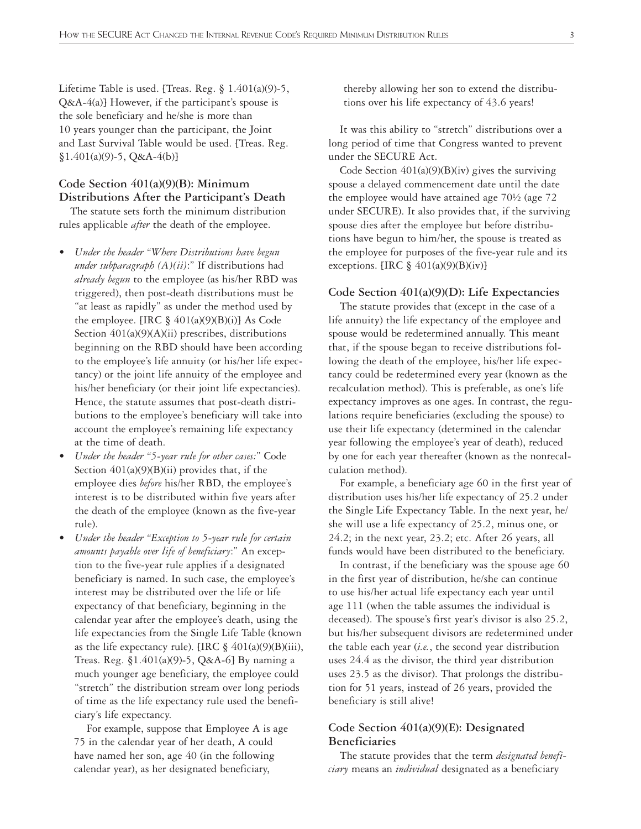Lifetime Table is used. [Treas. Reg.  $§$  1.401(a)(9)-5, Q&A-4(a)] However, if the participant's spouse is the sole beneficiary and he/she is more than 10 years younger than the participant, the Joint and Last Survival Table would be used. [Treas. Reg.  $$1.401(a)(9)-5, Q&A-4(b)]$ 

# **Code Section 401(a)(9)(B): Minimum Distributions After the Participant's Death**

The statute sets forth the minimum distribution rules applicable *after* the death of the employee.

- *Under the header "Where Distributions have begun under subparagraph (A)(ii)*:" If distributions had *already begun* to the employee (as his/her RBD was triggered), then post-death distributions must be "at least as rapidly" as under the method used by the employee.  $[IRC \S 401(a)(9)(B)(i)]$  As Code Section  $401(a)(9)(A)(ii)$  prescribes, distributions beginning on the RBD should have been according to the employee's life annuity (or his/her life expectancy) or the joint life annuity of the employee and his/her beneficiary (or their joint life expectancies). Hence, the statute assumes that post-death distributions to the employee's beneficiary will take into account the employee's remaining life expectancy at the time of death.
- *Under the header "5-year rule for other cases:*" Code Section  $401(a)(9)(B)(ii)$  provides that, if the employee dies *before* his/her RBD, the employee's interest is to be distributed within five years after the death of the employee (known as the five-year rule).
- *Under the header "Exception to 5-year rule for certain amounts payable over life of beneficiary*:" An exception to the five-year rule applies if a designated beneficiary is named. In such case, the employee's interest may be distributed over the life or life expectancy of that beneficiary, beginning in the calendar year after the employee's death, using the life expectancies from the Single Life Table (known as the life expectancy rule). [IRC  $\S$  401(a)(9)(B)(iii), Treas. Reg. §1.401(a)(9)-5, Q&A-6] By naming a much younger age beneficiary, the employee could "stretch" the distribution stream over long periods of time as the life expectancy rule used the beneficiary's life expectancy.

For example, suppose that Employee A is age 75 in the calendar year of her death, A could have named her son, age 40 (in the following calendar year), as her designated beneficiary,

thereby allowing her son to extend the distributions over his life expectancy of 43.6 years!

It was this ability to "stretch" distributions over a long period of time that Congress wanted to prevent under the SECURE Act.

Code Section 401(a)(9)(B)(iv) gives the surviving spouse a delayed commencement date until the date the employee would have attained age 70½ (age 72 under SECURE). It also provides that, if the surviving spouse dies after the employee but before distributions have begun to him/her, the spouse is treated as the employee for purposes of the five-year rule and its exceptions. [IRC  $\S$  401(a)(9)(B)(iv)]

#### **Code Section 401(a)(9)(D): Life Expectancies**

The statute provides that (except in the case of a life annuity) the life expectancy of the employee and spouse would be redetermined annually. This meant that, if the spouse began to receive distributions following the death of the employee, his/her life expectancy could be redetermined every year (known as the recalculation method). This is preferable, as one's life expectancy improves as one ages. In contrast, the regulations require beneficiaries (excluding the spouse) to use their life expectancy (determined in the calendar year following the employee's year of death), reduced by one for each year thereafter (known as the nonrecalculation method).

For example, a beneficiary age 60 in the first year of distribution uses his/her life expectancy of 25.2 under the Single Life Expectancy Table. In the next year, he/ she will use a life expectancy of 25.2, minus one, or 24.2; in the next year, 23.2; etc. After 26 years, all funds would have been distributed to the beneficiary.

In contrast, if the beneficiary was the spouse age 60 in the first year of distribution, he/she can continue to use his/her actual life expectancy each year until age 111 (when the table assumes the individual is deceased). The spouse's first year's divisor is also 25.2, but his/her subsequent divisors are redetermined under the table each year (*i.e.*, the second year distribution uses 24.4 as the divisor, the third year distribution uses 23.5 as the divisor). That prolongs the distribution for 51 years, instead of 26 years, provided the beneficiary is still alive!

## **Code Section 401(a)(9)(E): Designated Beneficiaries**

The statute provides that the term *designated beneficiary* means an *individual* designated as a beneficiary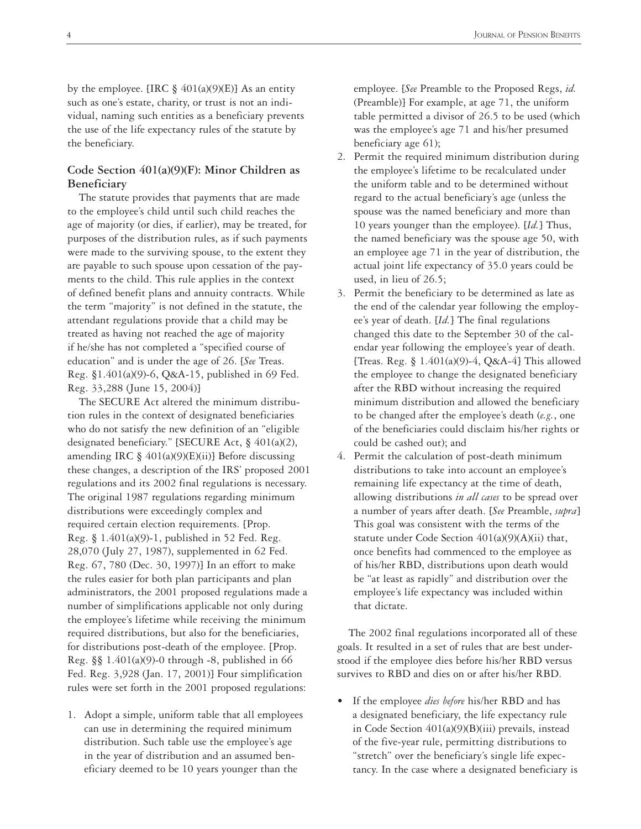by the employee. [IRC  $\S$  401(a)(9)(E)] As an entity such as one's estate, charity, or trust is not an individual, naming such entities as a beneficiary prevents the use of the life expectancy rules of the statute by the beneficiary.

# **Code Section 401(a)(9)(F): Minor Children as Beneficiary**

The statute provides that payments that are made to the employee's child until such child reaches the age of majority (or dies, if earlier), may be treated, for purposes of the distribution rules, as if such payments were made to the surviving spouse, to the extent they are payable to such spouse upon cessation of the payments to the child. This rule applies in the context of defined benefit plans and annuity contracts. While the term "majority" is not defined in the statute, the attendant regulations provide that a child may be treated as having not reached the age of majority if he/she has not completed a "specified course of education" and is under the age of 26. [*See* Treas. Reg. §1.401(a)(9)-6, Q&A-15, published in 69 Fed. Reg. 33,288 (June 15, 2004)]

The SECURE Act altered the minimum distribution rules in the context of designated beneficiaries who do not satisfy the new definition of an "eligible designated beneficiary." [SECURE Act, § 401(a)(2), amending IRC  $\S$  401(a)(9)(E)(ii)] Before discussing these changes, a description of the IRS' proposed 2001 regulations and its 2002 final regulations is necessary. The original 1987 regulations regarding minimum distributions were exceedingly complex and required certain election requirements. [Prop. Reg. § 1.401(a)(9)-1, published in 52 Fed. Reg. 28,070 (July 27, 1987), supplemented in 62 Fed. Reg. 67, 780 (Dec. 30, 1997)] In an effort to make the rules easier for both plan participants and plan administrators, the 2001 proposed regulations made a number of simplifications applicable not only during the employee's lifetime while receiving the minimum required distributions, but also for the beneficiaries, for distributions post-death of the employee. [Prop. Reg.  $\S$ § 1.401(a)(9)-0 through -8, published in 66 Fed. Reg. 3,928 (Jan. 17, 2001)] Four simplification rules were set forth in the 2001 proposed regulations:

1. Adopt a simple, uniform table that all employees can use in determining the required minimum distribution. Such table use the employee's age in the year of distribution and an assumed beneficiary deemed to be 10 years younger than the

employee. [*See* Preamble to the Proposed Regs, *id.* (Preamble)] For example, at age 71, the uniform table permitted a divisor of 26.5 to be used (which was the employee's age 71 and his/her presumed beneficiary age 61);

- 2. Permit the required minimum distribution during the employee's lifetime to be recalculated under the uniform table and to be determined without regard to the actual beneficiary's age (unless the spouse was the named beneficiary and more than 10 years younger than the employee). [*Id.*] Thus, the named beneficiary was the spouse age 50, with an employee age 71 in the year of distribution, the actual joint life expectancy of 35.0 years could be used, in lieu of 26.5;
- 3. Permit the beneficiary to be determined as late as the end of the calendar year following the employee's year of death. [*Id.*] The final regulations changed this date to the September 30 of the calendar year following the employee's year of death. [Treas. Reg. § 1.401(a)(9)-4, Q&A-4] This allowed the employee to change the designated beneficiary after the RBD without increasing the required minimum distribution and allowed the beneficiary to be changed after the employee's death (*e.g.*, one of the beneficiaries could disclaim his/her rights or could be cashed out); and
- 4. Permit the calculation of post-death minimum distributions to take into account an employee's remaining life expectancy at the time of death, allowing distributions *in all cases* to be spread over a number of years after death. [*See* Preamble, *supra*] This goal was consistent with the terms of the statute under Code Section  $401(a)(9)(A)(ii)$  that, once benefits had commenced to the employee as of his/her RBD, distributions upon death would be "at least as rapidly" and distribution over the employee's life expectancy was included within that dictate.

The 2002 final regulations incorporated all of these goals. It resulted in a set of rules that are best understood if the employee dies before his/her RBD versus survives to RBD and dies on or after his/her RBD.

• If the employee *dies before* his/her RBD and has a designated beneficiary, the life expectancy rule in Code Section 401(a)(9)(B)(iii) prevails, instead of the five-year rule, permitting distributions to "stretch" over the beneficiary's single life expectancy. In the case where a designated beneficiary is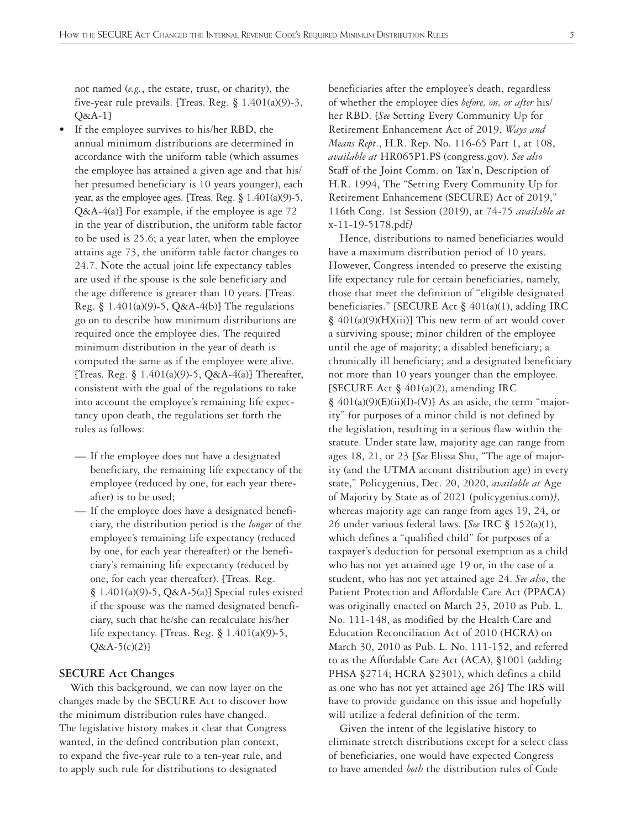not named (*e.g.*, the estate, trust, or charity), the five-year rule prevails. [Treas. Reg. § 1.401(a)(9)-3, Q&A-1]

- If the employee survives to his/her RBD, the annual minimum distributions are determined in accordance with the uniform table (which assumes the employee has attained a given age and that his/ her presumed beneficiary is 10 years younger), each year, as the employee ages. [Treas. Reg.  $\S 1.401(a)(9)-5$ , Q&A-4(a)] For example, if the employee is age 72 in the year of distribution, the uniform table factor to be used is 25.6; a year later, when the employee attains age 73, the uniform table factor changes to 24.7. Note the actual joint life expectancy tables are used if the spouse is the sole beneficiary and the age difference is greater than 10 years. [Treas. Reg. § 1.401(a)(9)-5, Q&A-4(b)] The regulations go on to describe how minimum distributions are required once the employee dies. The required minimum distribution in the year of death is computed the same as if the employee were alive. [Treas. Reg. § 1.401(a)(9)-5, Q&A-4(a)] Thereafter, consistent with the goal of the regulations to take into account the employee's remaining life expectancy upon death, the regulations set forth the rules as follows:
	- If the employee does not have a designated beneficiary, the remaining life expectancy of the employee (reduced by one, for each year thereafter) is to be used;
	- If the employee does have a designated beneficiary, the distribution period is the *longer* of the employee's remaining life expectancy (reduced by one, for each year thereafter) or the beneficiary's remaining life expectancy (reduced by one, for each year thereafter). [Treas. Reg. § 1.401(a)(9)-5, Q&A-5(a)] Special rules existed if the spouse was the named designated beneficiary, such that he/she can recalculate his/her life expectancy. [Treas. Reg. § 1.401(a)(9)-5,  $Q&A-5(c)(2)$

#### **SECURE Act Changes**

With this background, we can now layer on the changes made by the SECURE Act to discover how the minimum distribution rules have changed. The legislative history makes it clear that Congress wanted, in the defined contribution plan context, to expand the five-year rule to a ten-year rule, and to apply such rule for distributions to designated

beneficiaries after the employee's death, regardless of whether the employee dies *before, on, or after* his/ her RBD. [*See* Setting Every Community Up for Retirement Enhancement Act of 2019, *Ways and Means Rept*., H.R. Rep. No. 116-65 Part 1, at 108, *available at* HR065P1.PS (congress.gov). *See also* Staff of the Joint Comm. on Tax'n, Description of H.R. 1994, The "Setting Every Community Up for Retirement Enhancement (SECURE) Act of 2019," 116th Cong. 1st Session (2019), at 74-75 *available at* x-11-19-5178.pdf*]*

Hence, distributions to named beneficiaries would have a maximum distribution period of 10 years. However, Congress intended to preserve the existing life expectancy rule for certain beneficiaries, namely, those that meet the definition of "eligible designated beneficiaries." [SECURE Act § 401(a)(1), adding IRC  $§$  401(a)(9)(H)(iii)] This new term of art would cover a surviving spouse; minor children of the employee until the age of majority; a disabled beneficiary; a chronically ill beneficiary; and a designated beneficiary not more than 10 years younger than the employee. [SECURE Act § 401(a)(2), amending IRC  $§$  401(a)(9)(E)(ii)(I)-(V)] As an aside, the term "majority" for purposes of a minor child is not defined by the legislation, resulting in a serious flaw within the statute. Under state law, majority age can range from ages 18, 21, or 23 [*See* Elissa Shu, "The age of majority (and the UTMA account distribution age) in every state," Policygenius, Dec. 20, 2020, *available at* Age of Majority by State as of 2021 (policygenius.com)*],* whereas majority age can range from ages 19, 24, or 26 under various federal laws. [*See* IRC § 152(a)(1), which defines a "qualified child" for purposes of a taxpayer's deduction for personal exemption as a child who has not yet attained age 19 or, in the case of a student, who has not yet attained age 24. *See also*, the Patient Protection and Affordable Care Act (PPACA) was originally enacted on March 23, 2010 as Pub. L. No. 111-148, as modified by the Health Care and Education Reconciliation Act of 2010 (HCRA) on March 30, 2010 as Pub. L. No. 111-152, and referred to as the Affordable Care Act (ACA), §1001 (adding PHSA §2714; HCRA §2301), which defines a child as one who has not yet attained age 26] The IRS will have to provide guidance on this issue and hopefully will utilize a federal definition of the term.

Given the intent of the legislative history to eliminate stretch distributions except for a select class of beneficiaries, one would have expected Congress to have amended *both* the distribution rules of Code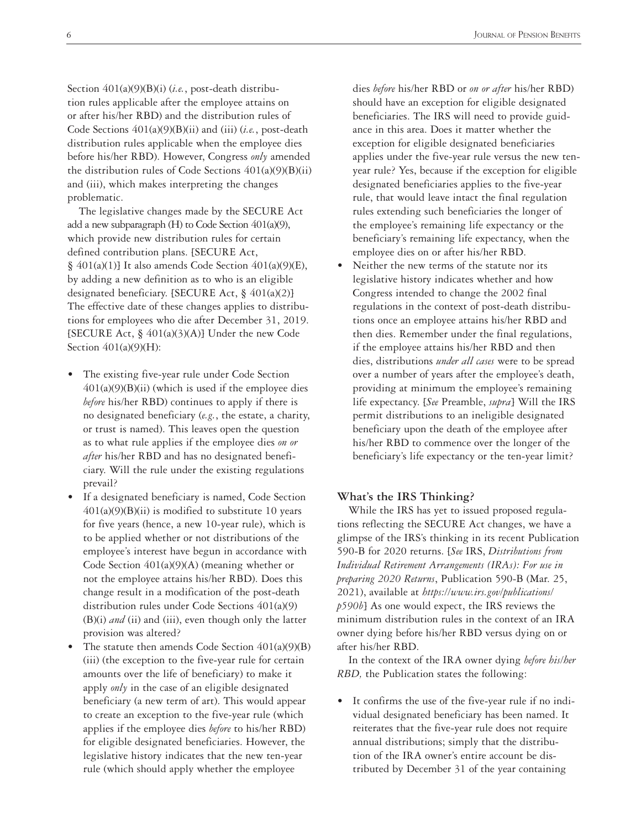Section 401(a)(9)(B)(i) (*i.e.*, post-death distribution rules applicable after the employee attains on or after his/her RBD) and the distribution rules of Code Sections 401(a)(9)(B)(ii) and (iii) (*i.e.*, post-death distribution rules applicable when the employee dies before his/her RBD). However, Congress *only* amended the distribution rules of Code Sections  $401(a)(9)(B)(ii)$ and (iii), which makes interpreting the changes problematic.

The legislative changes made by the SECURE Act add a new subparagraph (H) to Code Section 401(a)(9), which provide new distribution rules for certain defined contribution plans. [SECURE Act,  $§$  401(a)(1)] It also amends Code Section 401(a)(9)(E), by adding a new definition as to who is an eligible designated beneficiary. [SECURE Act, § 401(a)(2)] The effective date of these changes applies to distributions for employees who die after December 31, 2019. [SECURE Act, § 401(a)(3)(A)] Under the new Code Section  $401(a)(9)(H)$ :

- The existing five-year rule under Code Section  $401(a)(9)(B)(ii)$  (which is used if the employee dies *before* his/her RBD) continues to apply if there is no designated beneficiary (*e.g.*, the estate, a charity, or trust is named). This leaves open the question as to what rule applies if the employee dies *on or after* his/her RBD and has no designated beneficiary. Will the rule under the existing regulations prevail?
- If a designated beneficiary is named, Code Section  $401(a)(9)(B)(ii)$  is modified to substitute 10 years for five years (hence, a new 10-year rule), which is to be applied whether or not distributions of the employee's interest have begun in accordance with Code Section 401(a)(9)(A) (meaning whether or not the employee attains his/her RBD). Does this change result in a modification of the post-death distribution rules under Code Sections 401(a)(9) (B)(i) *and* (ii) and (iii), even though only the latter provision was altered?
- The statute then amends Code Section  $401(a)(9)(B)$ (iii) (the exception to the five-year rule for certain amounts over the life of beneficiary) to make it apply *only* in the case of an eligible designated beneficiary (a new term of art). This would appear to create an exception to the five-year rule (which applies if the employee dies *before* to his/her RBD) for eligible designated beneficiaries. However, the legislative history indicates that the new ten-year rule (which should apply whether the employee

dies *before* his/her RBD or *on or after* his/her RBD) should have an exception for eligible designated beneficiaries. The IRS will need to provide guidance in this area. Does it matter whether the exception for eligible designated beneficiaries applies under the five-year rule versus the new tenyear rule? Yes, because if the exception for eligible designated beneficiaries applies to the five-year rule, that would leave intact the final regulation rules extending such beneficiaries the longer of the employee's remaining life expectancy or the beneficiary's remaining life expectancy, when the employee dies on or after his/her RBD.

Neither the new terms of the statute nor its legislative history indicates whether and how Congress intended to change the 2002 final regulations in the context of post-death distributions once an employee attains his/her RBD and then dies. Remember under the final regulations, if the employee attains his/her RBD and then dies, distributions *under all cases* were to be spread over a number of years after the employee's death, providing at minimum the employee's remaining life expectancy. [*See* Preamble, *supra*] Will the IRS permit distributions to an ineligible designated beneficiary upon the death of the employee after his/her RBD to commence over the longer of the beneficiary's life expectancy or the ten-year limit?

#### **What's the IRS Thinking?**

While the IRS has yet to issued proposed regulations reflecting the SECURE Act changes, we have a glimpse of the IRS's thinking in its recent Publication 590-B for 2020 returns. [*See* IRS, *Distributions from Individual Retirement Arrangements (IRAs): For use in preparing 2020 Returns*, Publication 590-B (Mar. 25, 2021), available at *[https://www.irs.gov/publications/](https://www.irs.gov/publications/p590b) [p590b](https://www.irs.gov/publications/p590b)*] As one would expect, the IRS reviews the minimum distribution rules in the context of an IRA owner dying before his/her RBD versus dying on or after his/her RBD.

In the context of the IRA owner dying *before his/her RBD,* the Publication states the following:

• It confirms the use of the five-year rule if no individual designated beneficiary has been named. It reiterates that the five-year rule does not require annual distributions; simply that the distribution of the IRA owner's entire account be distributed by December 31 of the year containing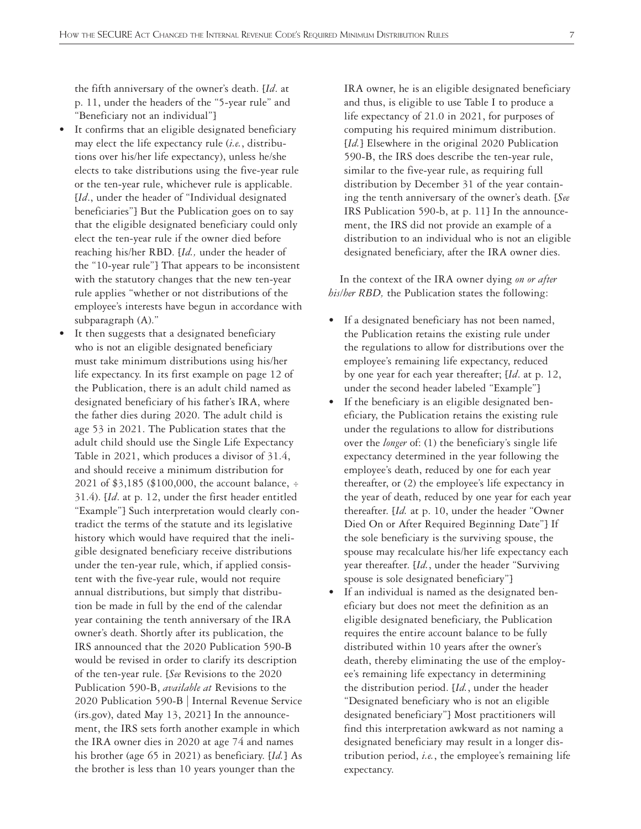the fifth anniversary of the owner's death. [*Id*. at p. 11, under the headers of the "5-year rule" and "Beneficiary not an individual"]

- It confirms that an eligible designated beneficiary may elect the life expectancy rule (*i.e.*, distributions over his/her life expectancy), unless he/she elects to take distributions using the five-year rule or the ten-year rule, whichever rule is applicable. [*Id*., under the header of "Individual designated beneficiaries"] But the Publication goes on to say that the eligible designated beneficiary could only elect the ten-year rule if the owner died before reaching his/her RBD. [*Id.,* under the header of the "10-year rule"] That appears to be inconsistent with the statutory changes that the new ten-year rule applies "whether or not distributions of the employee's interests have begun in accordance with subparagraph (A)."
- It then suggests that a designated beneficiary who is not an eligible designated beneficiary must take minimum distributions using his/her life expectancy. In its first example on page 12 of the Publication, there is an adult child named as designated beneficiary of his father's IRA, where the father dies during 2020. The adult child is age 53 in 2021. The Publication states that the adult child should use the Single Life Expectancy Table in 2021, which produces a divisor of 31.4, and should receive a minimum distribution for 2021 of \$3,185 (\$100,000, the account balance, ÷ 31.4). [*Id*. at p. 12, under the first header entitled "Example"] Such interpretation would clearly contradict the terms of the statute and its legislative history which would have required that the ineligible designated beneficiary receive distributions under the ten-year rule, which, if applied consistent with the five-year rule, would not require annual distributions, but simply that distribution be made in full by the end of the calendar year containing the tenth anniversary of the IRA owner's death. Shortly after its publication, the IRS announced that the 2020 Publication 590-B would be revised in order to clarify its description of the ten-year rule. [*See* Revisions to the 2020 Publication 590-B, *available at* Revisions to the 2020 Publication 590-B | Internal Revenue Service (irs.gov), dated May 13, 2021] In the announcement, the IRS sets forth another example in which the IRA owner dies in 2020 at age 74 and names his brother (age 65 in 2021) as beneficiary. [*Id.*] As the brother is less than 10 years younger than the

IRA owner, he is an eligible designated beneficiary and thus, is eligible to use Table I to produce a life expectancy of 21.0 in 2021, for purposes of computing his required minimum distribution. [*Id.*] Elsewhere in the original 2020 Publication 590-B, the IRS does describe the ten-year rule, similar to the five-year rule, as requiring full distribution by December 31 of the year containing the tenth anniversary of the owner's death. [*See* IRS Publication 590-b, at p. 11] In the announcement, the IRS did not provide an example of a distribution to an individual who is not an eligible designated beneficiary, after the IRA owner dies.

In the context of the IRA owner dying *on or after his/her RBD,* the Publication states the following:

- If a designated beneficiary has not been named, the Publication retains the existing rule under the regulations to allow for distributions over the employee's remaining life expectancy, reduced by one year for each year thereafter; [*Id*. at p. 12, under the second header labeled "Example"]
- If the beneficiary is an eligible designated beneficiary, the Publication retains the existing rule under the regulations to allow for distributions over the *longer* of: (1) the beneficiary's single life expectancy determined in the year following the employee's death, reduced by one for each year thereafter, or (2) the employee's life expectancy in the year of death, reduced by one year for each year thereafter. [*Id.* at p. 10, under the header "Owner Died On or After Required Beginning Date"] If the sole beneficiary is the surviving spouse, the spouse may recalculate his/her life expectancy each year thereafter. [*Id.*, under the header "Surviving spouse is sole designated beneficiary"]
- If an individual is named as the designated beneficiary but does not meet the definition as an eligible designated beneficiary, the Publication requires the entire account balance to be fully distributed within 10 years after the owner's death, thereby eliminating the use of the employee's remaining life expectancy in determining the distribution period. [*Id.*, under the header "Designated beneficiary who is not an eligible designated beneficiary"] Most practitioners will find this interpretation awkward as not naming a designated beneficiary may result in a longer distribution period, *i.e.*, the employee's remaining life expectancy.